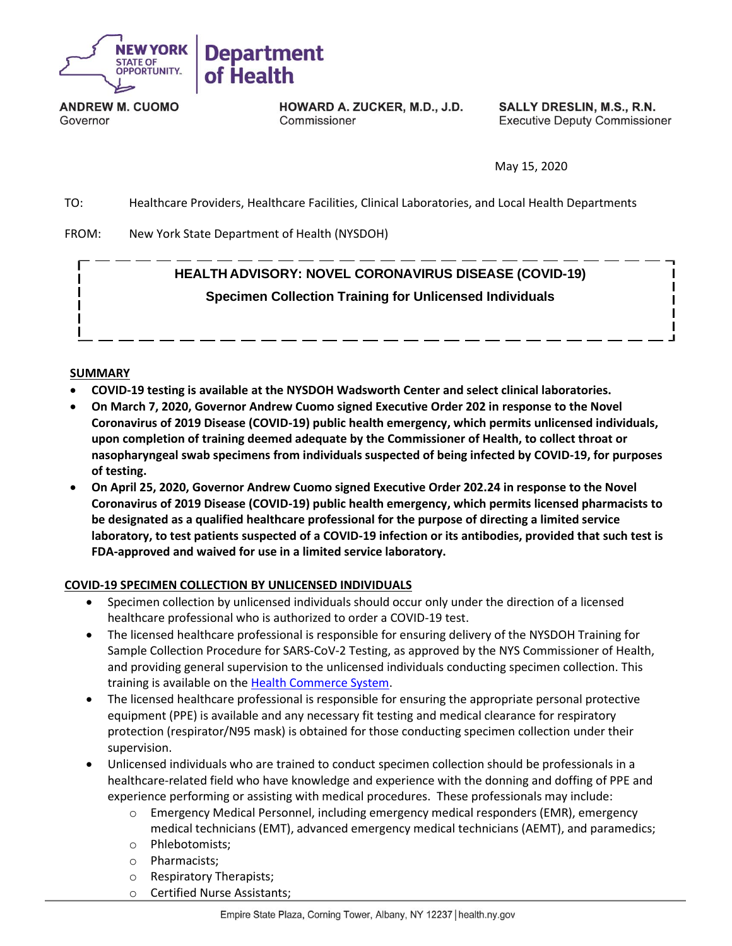

**ANDREW M. CUOMO** Governor

HOWARD A. ZUCKER, M.D., J.D. Commissioner

SALLY DRESLIN, M.S., R.N. **Executive Deputy Commissioner** 

May 15, 2020

TO: Healthcare Providers, Healthcare Facilities, Clinical Laboratories, and Local Health Departments

FROM: New York State Department of Health (NYSDOH)

## **HEALTH ADVISORY: NOVEL CORONAVIRUS DISEASE (COVID-19) Specimen Collection Training for Unlicensed Individuals**

## **SUMMARY**

- **COVID-19 testing is available at the NYSDOH Wadsworth Center and select clinical laboratories.**
- **On March 7, 2020, Governor Andrew Cuomo signed Executive Order 202 in response to the Novel Coronavirus of 2019 Disease (COVID-19) public health emergency, which permits unlicensed individuals, upon completion of training deemed adequate by the Commissioner of Health, to collect throat or nasopharyngeal swab specimens from individuals suspected of being infected by COVID-19, for purposes of testing.**
- **On April 25, 2020, Governor Andrew Cuomo signed Executive Order 202.24 in response to the Novel Coronavirus of 2019 Disease (COVID-19) public health emergency, which permits licensed pharmacists to be designated as a qualified healthcare professional for the purpose of directing a limited service laboratory, to test patients suspected of a COVID-19 infection or its antibodies, provided that such test is FDA-approved and waived for use in a limited service laboratory.**

## **COVID-19 SPECIMEN COLLECTION BY UNLICENSED INDIVIDUALS**

- Specimen collection by unlicensed individuals should occur only under the direction of a licensed healthcare professional who is authorized to order a COVID-19 test.
- The licensed healthcare professional is responsible for ensuring delivery of the NYSDOH Training for Sample Collection Procedure for SARS-CoV-2 Testing, as approved by the NYS Commissioner of Health, and providing general supervision to the unlicensed individuals conducting specimen collection. This training is available on the [Health Commerce System.](https://commerce.health.state.ny.us/hpn/ctrldocs/alrtview/postings/COVID19_Diagnostic_Sampling_Training_final_5_1589645808316_0.16.20.pdf)
- The licensed healthcare professional is responsible for ensuring the appropriate personal protective equipment (PPE) is available and any necessary fit testing and medical clearance for respiratory protection (respirator/N95 mask) is obtained for those conducting specimen collection under their supervision.
- Unlicensed individuals who are trained to conduct specimen collection should be professionals in a healthcare-related field who have knowledge and experience with the donning and doffing of PPE and experience performing or assisting with medical procedures. These professionals may include:
	- o Emergency Medical Personnel, including emergency medical responders (EMR), emergency medical technicians (EMT), advanced emergency medical technicians (AEMT), and paramedics;
	- o Phlebotomists;
	- o Pharmacists;
	- o Respiratory Therapists;
	- o Certified Nurse Assistants;